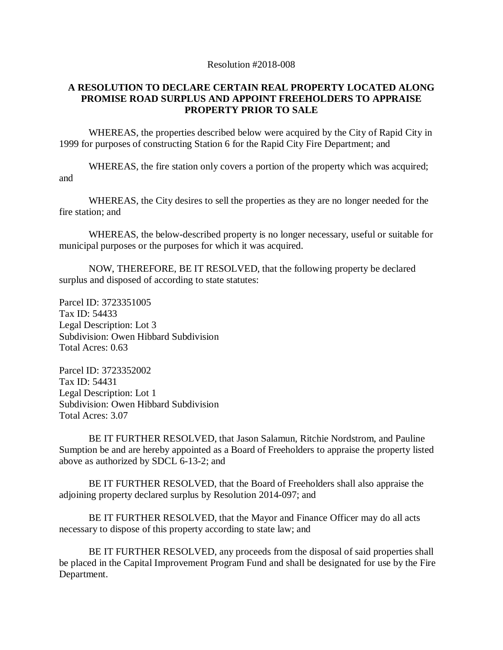## Resolution #2018-008

## **A RESOLUTION TO DECLARE CERTAIN REAL PROPERTY LOCATED ALONG PROMISE ROAD SURPLUS AND APPOINT FREEHOLDERS TO APPRAISE PROPERTY PRIOR TO SALE**

WHEREAS, the properties described below were acquired by the City of Rapid City in 1999 for purposes of constructing Station 6 for the Rapid City Fire Department; and

WHEREAS, the fire station only covers a portion of the property which was acquired; and

WHEREAS, the City desires to sell the properties as they are no longer needed for the fire station; and

WHEREAS, the below-described property is no longer necessary, useful or suitable for municipal purposes or the purposes for which it was acquired.

NOW, THEREFORE, BE IT RESOLVED, that the following property be declared surplus and disposed of according to state statutes:

Parcel ID: 3723351005 Tax ID: 54433 Legal Description: Lot 3 Subdivision: Owen Hibbard Subdivision Total Acres: 0.63

Parcel ID: 3723352002 Tax ID: 54431 Legal Description: Lot 1 Subdivision: Owen Hibbard Subdivision Total Acres: 3.07

BE IT FURTHER RESOLVED, that Jason Salamun, Ritchie Nordstrom, and Pauline Sumption be and are hereby appointed as a Board of Freeholders to appraise the property listed above as authorized by SDCL 6-13-2; and

BE IT FURTHER RESOLVED, that the Board of Freeholders shall also appraise the adjoining property declared surplus by Resolution 2014-097; and

BE IT FURTHER RESOLVED, that the Mayor and Finance Officer may do all acts necessary to dispose of this property according to state law; and

BE IT FURTHER RESOLVED, any proceeds from the disposal of said properties shall be placed in the Capital Improvement Program Fund and shall be designated for use by the Fire Department.